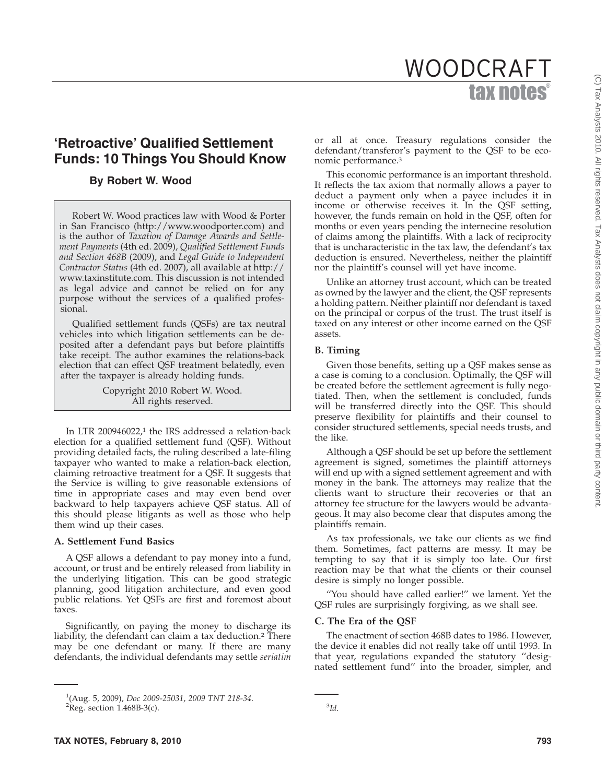# tax notes WOODCRAFT

## **'Retroactive' Qualified Settlement Funds: 10 Things You Should Know**

### **By Robert W. Wood**

Robert W. Wood practices law with Wood & Porter in San Francisco (http://www.woodporter.com) and is the author of *Taxation of Damage Awards and Settlement Payments* (4th ed. 2009), *Qualified Settlement Funds and Section 468B* (2009), and *Legal Guide to Independent Contractor Status* (4th ed. 2007), all available at http:// www.taxinstitute.com. This discussion is not intended as legal advice and cannot be relied on for any purpose without the services of a qualified professional.

Qualified settlement funds (QSFs) are tax neutral vehicles into which litigation settlements can be deposited after a defendant pays but before plaintiffs take receipt. The author examines the relations-back election that can effect QSF treatment belatedly, even after the taxpayer is already holding funds.

> Copyright 2010 Robert W. Wood. All rights reserved.

In LTR 200946022, $1$  the IRS addressed a relation-back election for a qualified settlement fund (QSF). Without providing detailed facts, the ruling described a late-filing taxpayer who wanted to make a relation-back election, claiming retroactive treatment for a QSF. It suggests that the Service is willing to give reasonable extensions of time in appropriate cases and may even bend over backward to help taxpayers achieve QSF status. All of this should please litigants as well as those who help them wind up their cases.

#### **A. Settlement Fund Basics**

A QSF allows a defendant to pay money into a fund, account, or trust and be entirely released from liability in the underlying litigation. This can be good strategic planning, good litigation architecture, and even good public relations. Yet QSFs are first and foremost about taxes.

Significantly, on paying the money to discharge its liability, the defendant can claim a tax deduction.2 There may be one defendant or many. If there are many defendants, the individual defendants may settle *seriatim*

or all at once. Treasury regulations consider the defendant/transferor's payment to the QSF to be economic performance.3

This economic performance is an important threshold. It reflects the tax axiom that normally allows a payer to deduct a payment only when a payee includes it in income or otherwise receives it. In the QSF setting, however, the funds remain on hold in the QSF, often for months or even years pending the internecine resolution of claims among the plaintiffs. With a lack of reciprocity that is uncharacteristic in the tax law, the defendant's tax deduction is ensured. Nevertheless, neither the plaintiff nor the plaintiff's counsel will yet have income.

Unlike an attorney trust account, which can be treated as owned by the lawyer and the client, the QSF represents a holding pattern. Neither plaintiff nor defendant is taxed on the principal or corpus of the trust. The trust itself is taxed on any interest or other income earned on the QSF assets.

#### **B. Timing**

Given those benefits, setting up a QSF makes sense as a case is coming to a conclusion. Optimally, the QSF will be created before the settlement agreement is fully negotiated. Then, when the settlement is concluded, funds will be transferred directly into the QSF. This should preserve flexibility for plaintiffs and their counsel to consider structured settlements, special needs trusts, and the like.

Although a QSF should be set up before the settlement agreement is signed, sometimes the plaintiff attorneys will end up with a signed settlement agreement and with money in the bank. The attorneys may realize that the clients want to structure their recoveries or that an attorney fee structure for the lawyers would be advantageous. It may also become clear that disputes among the plaintiffs remain.

As tax professionals, we take our clients as we find them. Sometimes, fact patterns are messy. It may be tempting to say that it is simply too late. Our first reaction may be that what the clients or their counsel desire is simply no longer possible.

''You should have called earlier!'' we lament. Yet the QSF rules are surprisingly forgiving, as we shall see.

#### **C. The Era of the QSF**

The enactment of section 468B dates to 1986. However, the device it enables did not really take off until 1993. In that year, regulations expanded the statutory ''designated settlement fund'' into the broader, simpler, and

<sup>1</sup> (Aug. 5, 2009), *Doc 2009-25031*, *2009 TNT 218-34*. <sup>2</sup>  ${}^{2}$ Reg. section 1.468B-3(c).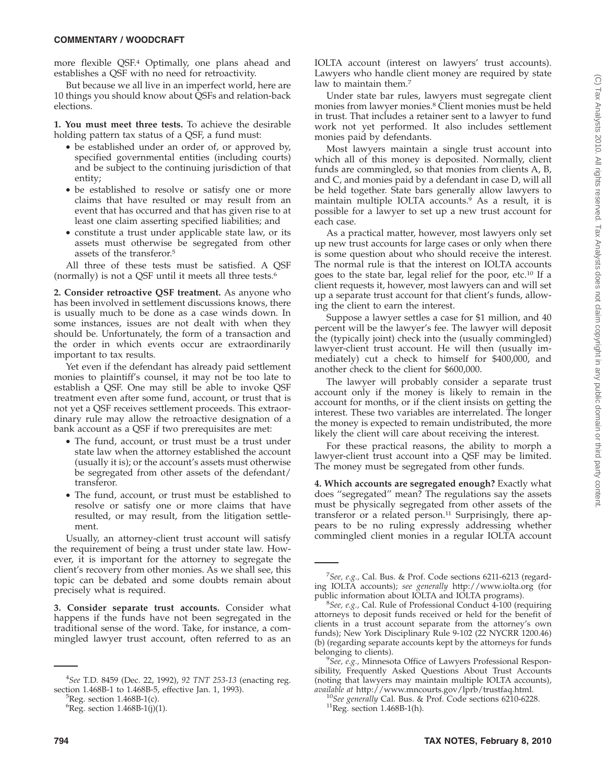#### **COMMENTARY / WOODCRAFT**

more flexible QSF.4 Optimally, one plans ahead and establishes a QSF with no need for retroactivity.

But because we all live in an imperfect world, here are 10 things you should know about QSFs and relation-back elections.

**1. You must meet three tests.** To achieve the desirable holding pattern tax status of a QSF, a fund must:

- be established under an order of, or approved by, specified governmental entities (including courts) and be subject to the continuing jurisdiction of that entity;
- be established to resolve or satisfy one or more claims that have resulted or may result from an event that has occurred and that has given rise to at least one claim asserting specified liabilities; and
- constitute a trust under applicable state law, or its assets must otherwise be segregated from other assets of the transferor.5

All three of these tests must be satisfied. A QSF (normally) is not a QSF until it meets all three tests.6

**2. Consider retroactive QSF treatment.** As anyone who has been involved in settlement discussions knows, there is usually much to be done as a case winds down. In some instances, issues are not dealt with when they should be. Unfortunately, the form of a transaction and the order in which events occur are extraordinarily important to tax results.

Yet even if the defendant has already paid settlement monies to plaintiff's counsel, it may not be too late to establish a QSF. One may still be able to invoke QSF treatment even after some fund, account, or trust that is not yet a QSF receives settlement proceeds. This extraordinary rule may allow the retroactive designation of a bank account as a QSF if two prerequisites are met:

- The fund, account, or trust must be a trust under state law when the attorney established the account (usually it is); or the account's assets must otherwise be segregated from other assets of the defendant/ transferor.
- The fund, account, or trust must be established to resolve or satisfy one or more claims that have resulted, or may result, from the litigation settlement.

Usually, an attorney-client trust account will satisfy the requirement of being a trust under state law. However, it is important for the attorney to segregate the client's recovery from other monies. As we shall see, this topic can be debated and some doubts remain about precisely what is required.

**3. Consider separate trust accounts.** Consider what happens if the funds have not been segregated in the traditional sense of the word. Take, for instance, a commingled lawyer trust account, often referred to as an

IOLTA account (interest on lawyers' trust accounts). Lawyers who handle client money are required by state law to maintain them.<sup>7</sup>

Under state bar rules, lawyers must segregate client monies from lawyer monies.8 Client monies must be held in trust. That includes a retainer sent to a lawyer to fund work not yet performed. It also includes settlement monies paid by defendants.

Most lawyers maintain a single trust account into which all of this money is deposited. Normally, client funds are commingled, so that monies from clients A, B, and C, and monies paid by a defendant in case D, will all be held together. State bars generally allow lawyers to maintain multiple IOLTA accounts.<sup>9</sup> As a result, it is possible for a lawyer to set up a new trust account for each case.

As a practical matter, however, most lawyers only set up new trust accounts for large cases or only when there is some question about who should receive the interest. The normal rule is that the interest on IOLTA accounts goes to the state bar, legal relief for the poor, etc.10 If a client requests it, however, most lawyers can and will set up a separate trust account for that client's funds, allowing the client to earn the interest.

Suppose a lawyer settles a case for \$1 million, and 40 percent will be the lawyer's fee. The lawyer will deposit the (typically joint) check into the (usually commingled) lawyer-client trust account. He will then (usually immediately) cut a check to himself for \$400,000, and another check to the client for \$600,000.

The lawyer will probably consider a separate trust account only if the money is likely to remain in the account for months, or if the client insists on getting the interest. These two variables are interrelated. The longer the money is expected to remain undistributed, the more likely the client will care about receiving the interest.

For these practical reasons, the ability to morph a lawyer-client trust account into a QSF may be limited. The money must be segregated from other funds.

**4. Which accounts are segregated enough?** Exactly what does ''segregated'' mean? The regulations say the assets must be physically segregated from other assets of the transferor or a related person.<sup>11</sup> Surprisingly, there appears to be no ruling expressly addressing whether commingled client monies in a regular IOLTA account

<sup>4</sup> *See* T.D. 8459 (Dec. 22, 1992), *92 TNT 253-13* (enacting reg. section 1.468B-1 to 1.468B-5, effective Jan. 1, 1993).

 ${}^5$ Reg. section 1.468B-1(c).

 ${}^{6}$ Reg. section 1.468B-1(j)(1).

<sup>7</sup> *See, e.g.,* Cal. Bus. & Prof. Code sections 6211-6213 (regarding IOLTA accounts); *see generally* http://www.iolta.org (for public information about IOLTA and IOLTA programs).

*See, e.g.,* Cal. Rule of Professional Conduct 4-100 (requiring attorneys to deposit funds received or held for the benefit of clients in a trust account separate from the attorney's own funds); New York Disciplinary Rule 9-102 (22 NYCRR 1200.46) (b) (regarding separate accounts kept by the attorneys for funds belonging to clients).

*See, e.g.,* Minnesota Office of Lawyers Professional Responsibility, Frequently Asked Questions About Trust Accounts (noting that lawyers may maintain multiple IOLTA accounts), *available at* http://www.mncourts.gov/lprb/trustfaq.html.

<sup>&</sup>lt;sup>10</sup>See generally Cal. Bus. & Prof. Code sections 6210-6228. <sup>11</sup>Reg. section 1.468B-1(h).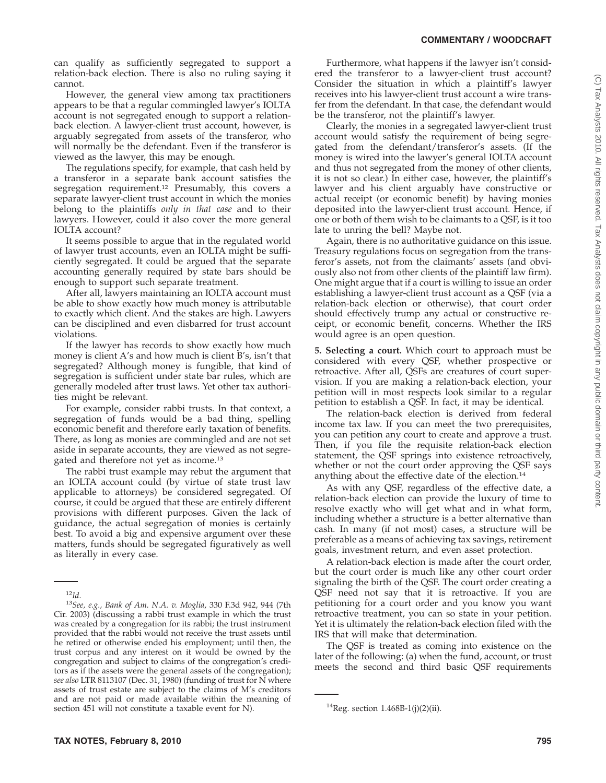can qualify as sufficiently segregated to support a relation-back election. There is also no ruling saying it cannot.

However, the general view among tax practitioners appears to be that a regular commingled lawyer's IOLTA account is not segregated enough to support a relationback election. A lawyer-client trust account, however, is arguably segregated from assets of the transferor, who will normally be the defendant. Even if the transferor is viewed as the lawyer, this may be enough.

The regulations specify, for example, that cash held by a transferor in a separate bank account satisfies the segregation requirement.<sup>12</sup> Presumably, this covers a separate lawyer-client trust account in which the monies belong to the plaintiffs *only in that case* and to their lawyers. However, could it also cover the more general IOLTA account?

It seems possible to argue that in the regulated world of lawyer trust accounts, even an IOLTA might be sufficiently segregated. It could be argued that the separate accounting generally required by state bars should be enough to support such separate treatment.

After all, lawyers maintaining an IOLTA account must be able to show exactly how much money is attributable to exactly which client. And the stakes are high. Lawyers can be disciplined and even disbarred for trust account violations.

If the lawyer has records to show exactly how much money is client A's and how much is client B's, isn't that segregated? Although money is fungible, that kind of segregation is sufficient under state bar rules, which are generally modeled after trust laws. Yet other tax authorities might be relevant.

For example, consider rabbi trusts. In that context, a segregation of funds would be a bad thing, spelling economic benefit and therefore early taxation of benefits. There, as long as monies are commingled and are not set aside in separate accounts, they are viewed as not segregated and therefore not yet as income.13

The rabbi trust example may rebut the argument that an IOLTA account could (by virtue of state trust law applicable to attorneys) be considered segregated. Of course, it could be argued that these are entirely different provisions with different purposes. Given the lack of guidance, the actual segregation of monies is certainly best. To avoid a big and expensive argument over these matters, funds should be segregated figuratively as well as literally in every case.

Furthermore, what happens if the lawyer isn't considered the transferor to a lawyer-client trust account? Consider the situation in which a plaintiff's lawyer receives into his lawyer-client trust account a wire transfer from the defendant. In that case, the defendant would be the transferor, not the plaintiff's lawyer.

Clearly, the monies in a segregated lawyer-client trust account would satisfy the requirement of being segregated from the defendant/transferor's assets. (If the money is wired into the lawyer's general IOLTA account and thus not segregated from the money of other clients, it is not so clear.) In either case, however, the plaintiff's lawyer and his client arguably have constructive or actual receipt (or economic benefit) by having monies deposited into the lawyer-client trust account. Hence, if one or both of them wish to be claimants to a QSF, is it too late to unring the bell? Maybe not.

Again, there is no authoritative guidance on this issue. Treasury regulations focus on segregation from the transferor's assets, not from the claimants' assets (and obviously also not from other clients of the plaintiff law firm). One might argue that if a court is willing to issue an order establishing a lawyer-client trust account as a QSF (via a relation-back election or otherwise), that court order should effectively trump any actual or constructive receipt, or economic benefit, concerns. Whether the IRS would agree is an open question.

**5. Selecting a court.** Which court to approach must be considered with every QSF, whether prospective or retroactive. After all, QSFs are creatures of court supervision. If you are making a relation-back election, your petition will in most respects look similar to a regular petition to establish a QSF. In fact, it may be identical.

The relation-back election is derived from federal income tax law. If you can meet the two prerequisites, you can petition any court to create and approve a trust. Then, if you file the requisite relation-back election statement, the QSF springs into existence retroactively, whether or not the court order approving the QSF says anything about the effective date of the election.14

As with any QSF, regardless of the effective date, a relation-back election can provide the luxury of time to resolve exactly who will get what and in what form, including whether a structure is a better alternative than cash. In many (if not most) cases, a structure will be preferable as a means of achieving tax savings, retirement goals, investment return, and even asset protection.

A relation-back election is made after the court order, but the court order is much like any other court order signaling the birth of the QSF. The court order creating a QSF need not say that it is retroactive. If you are petitioning for a court order and you know you want retroactive treatment, you can so state in your petition. Yet it is ultimately the relation-back election filed with the IRS that will make that determination.

The QSF is treated as coming into existence on the later of the following: (a) when the fund, account, or trust meets the second and third basic QSF requirements

<sup>12</sup>*Id*. <sup>13</sup>*See, e.g., Bank of Am. N.A. v. Moglia*, 330 F.3d 942, 944 (7th Cir. 2003) (discussing a rabbi trust example in which the trust was created by a congregation for its rabbi; the trust instrument provided that the rabbi would not receive the trust assets until he retired or otherwise ended his employment; until then, the trust corpus and any interest on it would be owned by the congregation and subject to claims of the congregation's creditors as if the assets were the general assets of the congregation); *see also* LTR 8113107 (Dec. 31, 1980) (funding of trust for N where assets of trust estate are subject to the claims of M's creditors and are not paid or made available within the meaning of section 451 will not constitute a taxable event for N).  $14$ Reg. section 1.468B-1(j)(2)(ii).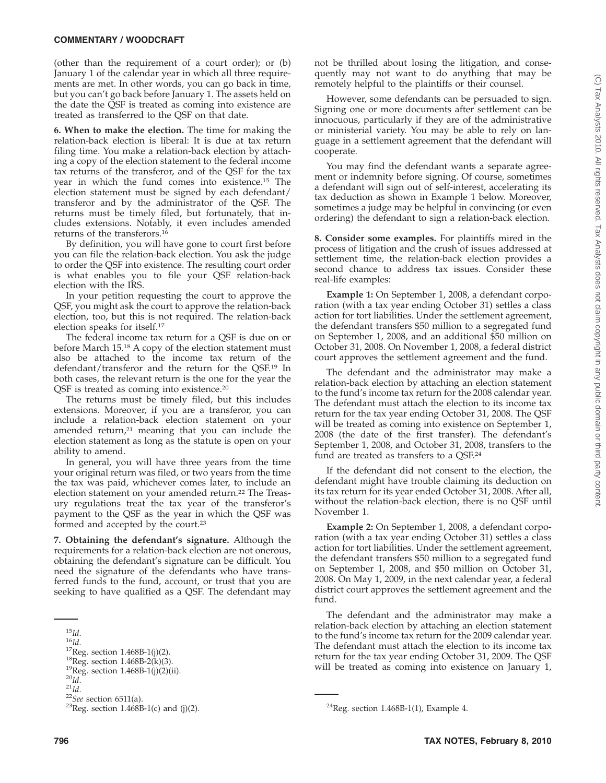#### **COMMENTARY / WOODCRAFT**

(other than the requirement of a court order); or (b) January 1 of the calendar year in which all three requirements are met. In other words, you can go back in time, but you can't go back before January 1. The assets held on the date the QSF is treated as coming into existence are treated as transferred to the QSF on that date.

**6. When to make the election.** The time for making the relation-back election is liberal: It is due at tax return filing time. You make a relation-back election by attaching a copy of the election statement to the federal income tax returns of the transferor, and of the QSF for the tax year in which the fund comes into existence.15 The election statement must be signed by each defendant/ transferor and by the administrator of the QSF. The returns must be timely filed, but fortunately, that includes extensions. Notably, it even includes amended returns of the transferors.16

By definition, you will have gone to court first before you can file the relation-back election. You ask the judge to order the QSF into existence. The resulting court order is what enables you to file your QSF relation-back election with the IRS.

In your petition requesting the court to approve the QSF, you might ask the court to approve the relation-back election, too, but this is not required. The relation-back election speaks for itself.17

The federal income tax return for a QSF is due on or before March 15.18 A copy of the election statement must also be attached to the income tax return of the defendant/transferor and the return for the QSF.19 In both cases, the relevant return is the one for the year the QSF is treated as coming into existence.20

The returns must be timely filed, but this includes extensions. Moreover, if you are a transferor, you can include a relation-back election statement on your amended return, $21$  meaning that you can include the election statement as long as the statute is open on your ability to amend.

In general, you will have three years from the time your original return was filed, or two years from the time the tax was paid, whichever comes later, to include an election statement on your amended return.<sup>22</sup> The Treasury regulations treat the tax year of the transferor's payment to the QSF as the year in which the QSF was formed and accepted by the court.23

**7. Obtaining the defendant's signature.** Although the requirements for a relation-back election are not onerous, obtaining the defendant's signature can be difficult. You need the signature of the defendants who have transferred funds to the fund, account, or trust that you are seeking to have qualified as a QSF. The defendant may

not be thrilled about losing the litigation, and consequently may not want to do anything that may be remotely helpful to the plaintiffs or their counsel.

However, some defendants can be persuaded to sign. Signing one or more documents after settlement can be innocuous, particularly if they are of the administrative or ministerial variety. You may be able to rely on language in a settlement agreement that the defendant will cooperate.

You may find the defendant wants a separate agreement or indemnity before signing. Of course, sometimes a defendant will sign out of self-interest, accelerating its tax deduction as shown in Example 1 below. Moreover, sometimes a judge may be helpful in convincing (or even ordering) the defendant to sign a relation-back election.

**8. Consider some examples.** For plaintiffs mired in the process of litigation and the crush of issues addressed at settlement time, the relation-back election provides a second chance to address tax issues. Consider these real-life examples:

**Example 1:** On September 1, 2008, a defendant corporation (with a tax year ending October 31) settles a class action for tort liabilities. Under the settlement agreement, the defendant transfers \$50 million to a segregated fund on September 1, 2008, and an additional \$50 million on October 31, 2008. On November 1, 2008, a federal district court approves the settlement agreement and the fund.

The defendant and the administrator may make a relation-back election by attaching an election statement to the fund's income tax return for the 2008 calendar year. The defendant must attach the election to its income tax return for the tax year ending October 31, 2008. The QSF will be treated as coming into existence on September 1, 2008 (the date of the first transfer). The defendant's September 1, 2008, and October 31, 2008, transfers to the fund are treated as transfers to a QSF.24

If the defendant did not consent to the election, the defendant might have trouble claiming its deduction on its tax return for its year ended October 31, 2008. After all, without the relation-back election, there is no QSF until November 1.

**Example 2:** On September 1, 2008, a defendant corporation (with a tax year ending October 31) settles a class action for tort liabilities. Under the settlement agreement, the defendant transfers \$50 million to a segregated fund on September 1, 2008, and \$50 million on October 31, 2008. On May 1, 2009, in the next calendar year, a federal district court approves the settlement agreement and the fund.

The defendant and the administrator may make a relation-back election by attaching an election statement to the fund's income tax return for the 2009 calendar year. The defendant must attach the election to its income tax return for the tax year ending October 31, 2009. The QSF will be treated as coming into existence on January 1, <sup>15</sup>Id.<br>
<sup>16</sup>Id.<br>
<sup>16</sup>Id.<br>
<sup>16</sup>Id.<br>
<sup>16</sup>Id.<br>
<sup>17</sup>Reg. section 1.468B-1(j)(2).<br>
<sup>18</sup>Reg. section 1.468B-2(k)(3).<br>
<sup>18</sup>Reg. section 1.468B-1(j)(2)(ii).<br>
<sup>20</sup>Id.<br>
<sup>22</sup>*See* section 6511(a).<br>
<sup>22</sup>*See* section 6511(a).<br>
<sup>23</sup>R